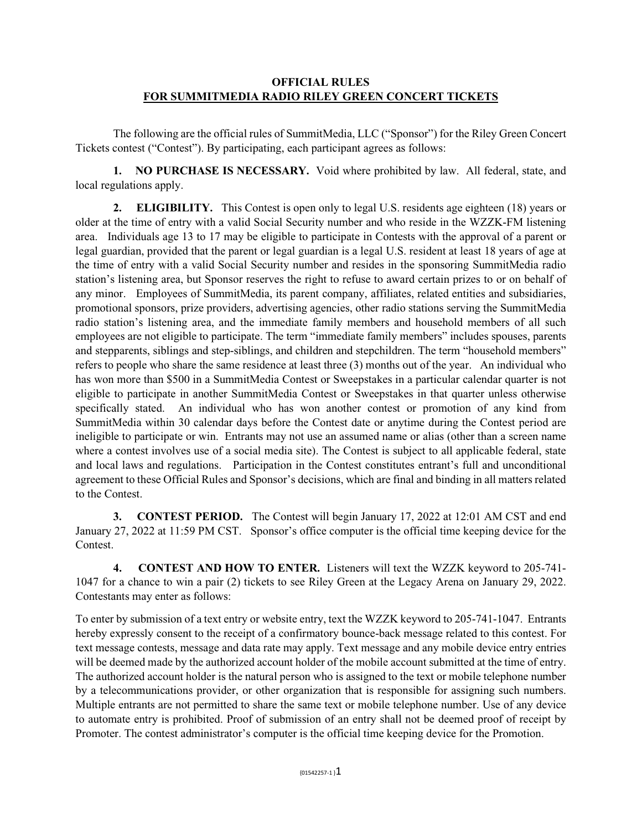## **OFFICIAL RULES FOR SUMMITMEDIA RADIO RILEY GREEN CONCERT TICKETS**

The following are the official rules of SummitMedia, LLC ("Sponsor") for the Riley Green Concert Tickets contest ("Contest"). By participating, each participant agrees as follows:

**1. NO PURCHASE IS NECESSARY.** Void where prohibited by law. All federal, state, and local regulations apply.

**2. ELIGIBILITY.** This Contest is open only to legal U.S. residents age eighteen (18) years or older at the time of entry with a valid Social Security number and who reside in the WZZK-FM listening area. Individuals age 13 to 17 may be eligible to participate in Contests with the approval of a parent or legal guardian, provided that the parent or legal guardian is a legal U.S. resident at least 18 years of age at the time of entry with a valid Social Security number and resides in the sponsoring SummitMedia radio station's listening area, but Sponsor reserves the right to refuse to award certain prizes to or on behalf of any minor. Employees of SummitMedia, its parent company, affiliates, related entities and subsidiaries, promotional sponsors, prize providers, advertising agencies, other radio stations serving the SummitMedia radio station's listening area, and the immediate family members and household members of all such employees are not eligible to participate. The term "immediate family members" includes spouses, parents and stepparents, siblings and step-siblings, and children and stepchildren. The term "household members" refers to people who share the same residence at least three (3) months out of the year. An individual who has won more than \$500 in a SummitMedia Contest or Sweepstakes in a particular calendar quarter is not eligible to participate in another SummitMedia Contest or Sweepstakes in that quarter unless otherwise specifically stated. An individual who has won another contest or promotion of any kind from SummitMedia within 30 calendar days before the Contest date or anytime during the Contest period are ineligible to participate or win. Entrants may not use an assumed name or alias (other than a screen name where a contest involves use of a social media site). The Contest is subject to all applicable federal, state and local laws and regulations. Participation in the Contest constitutes entrant's full and unconditional agreement to these Official Rules and Sponsor's decisions, which are final and binding in all matters related to the Contest.

**3. CONTEST PERIOD.** The Contest will begin January 17, 2022 at 12:01 AM CST and end January 27, 2022 at 11:59 PM CST. Sponsor's office computer is the official time keeping device for the Contest.

**4. CONTEST AND HOW TO ENTER.** Listeners will text the WZZK keyword to 205-741- 1047 for a chance to win a pair (2) tickets to see Riley Green at the Legacy Arena on January 29, 2022. Contestants may enter as follows:

To enter by submission of a text entry or website entry, text the WZZK keyword to 205-741-1047. Entrants hereby expressly consent to the receipt of a confirmatory bounce-back message related to this contest. For text message contests, message and data rate may apply. Text message and any mobile device entry entries will be deemed made by the authorized account holder of the mobile account submitted at the time of entry. The authorized account holder is the natural person who is assigned to the text or mobile telephone number by a telecommunications provider, or other organization that is responsible for assigning such numbers. Multiple entrants are not permitted to share the same text or mobile telephone number. Use of any device to automate entry is prohibited. Proof of submission of an entry shall not be deemed proof of receipt by Promoter. The contest administrator's computer is the official time keeping device for the Promotion.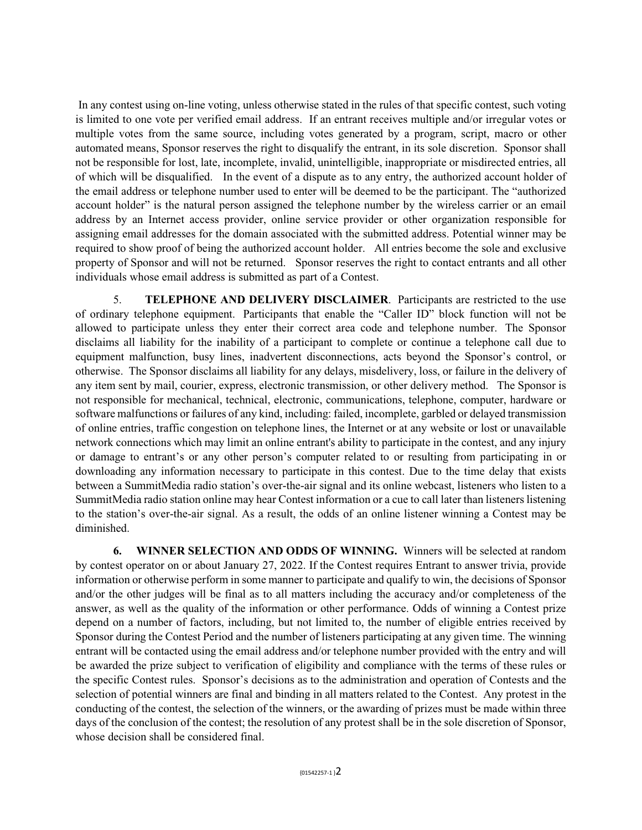In any contest using on-line voting, unless otherwise stated in the rules of that specific contest, such voting is limited to one vote per verified email address. If an entrant receives multiple and/or irregular votes or multiple votes from the same source, including votes generated by a program, script, macro or other automated means, Sponsor reserves the right to disqualify the entrant, in its sole discretion. Sponsor shall not be responsible for lost, late, incomplete, invalid, unintelligible, inappropriate or misdirected entries, all of which will be disqualified. In the event of a dispute as to any entry, the authorized account holder of the email address or telephone number used to enter will be deemed to be the participant. The "authorized account holder" is the natural person assigned the telephone number by the wireless carrier or an email address by an Internet access provider, online service provider or other organization responsible for assigning email addresses for the domain associated with the submitted address. Potential winner may be required to show proof of being the authorized account holder. All entries become the sole and exclusive property of Sponsor and will not be returned. Sponsor reserves the right to contact entrants and all other individuals whose email address is submitted as part of a Contest.

5. **TELEPHONE AND DELIVERY DISCLAIMER**. Participants are restricted to the use of ordinary telephone equipment. Participants that enable the "Caller ID" block function will not be allowed to participate unless they enter their correct area code and telephone number. The Sponsor disclaims all liability for the inability of a participant to complete or continue a telephone call due to equipment malfunction, busy lines, inadvertent disconnections, acts beyond the Sponsor's control, or otherwise. The Sponsor disclaims all liability for any delays, misdelivery, loss, or failure in the delivery of any item sent by mail, courier, express, electronic transmission, or other delivery method. The Sponsor is not responsible for mechanical, technical, electronic, communications, telephone, computer, hardware or software malfunctions or failures of any kind, including: failed, incomplete, garbled or delayed transmission of online entries, traffic congestion on telephone lines, the Internet or at any website or lost or unavailable network connections which may limit an online entrant's ability to participate in the contest, and any injury or damage to entrant's or any other person's computer related to or resulting from participating in or downloading any information necessary to participate in this contest. Due to the time delay that exists between a SummitMedia radio station's over-the-air signal and its online webcast, listeners who listen to a SummitMedia radio station online may hear Contest information or a cue to call later than listeners listening to the station's over-the-air signal. As a result, the odds of an online listener winning a Contest may be diminished.

**6. WINNER SELECTION AND ODDS OF WINNING.** Winners will be selected at random by contest operator on or about January 27, 2022. If the Contest requires Entrant to answer trivia, provide information or otherwise perform in some manner to participate and qualify to win, the decisions of Sponsor and/or the other judges will be final as to all matters including the accuracy and/or completeness of the answer, as well as the quality of the information or other performance. Odds of winning a Contest prize depend on a number of factors, including, but not limited to, the number of eligible entries received by Sponsor during the Contest Period and the number of listeners participating at any given time. The winning entrant will be contacted using the email address and/or telephone number provided with the entry and will be awarded the prize subject to verification of eligibility and compliance with the terms of these rules or the specific Contest rules. Sponsor's decisions as to the administration and operation of Contests and the selection of potential winners are final and binding in all matters related to the Contest. Any protest in the conducting of the contest, the selection of the winners, or the awarding of prizes must be made within three days of the conclusion of the contest; the resolution of any protest shall be in the sole discretion of Sponsor, whose decision shall be considered final.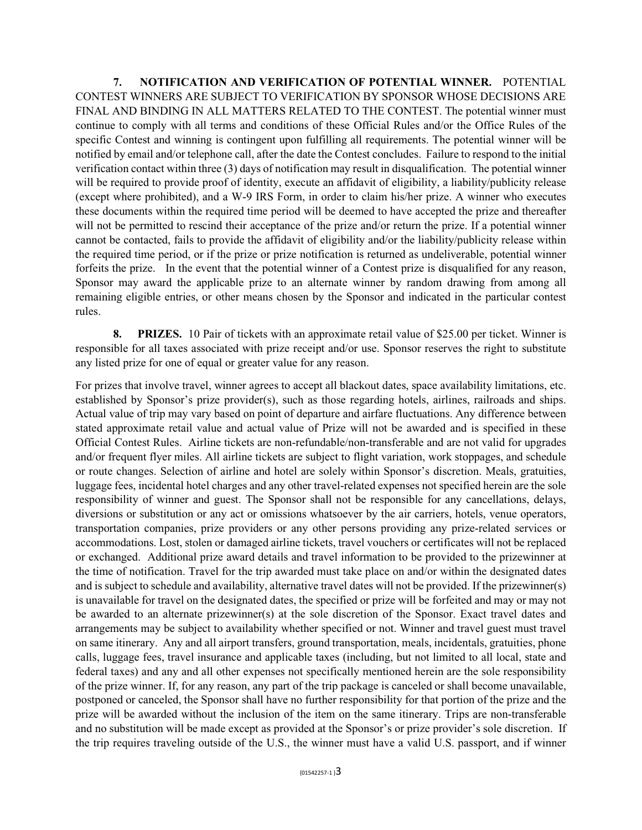**7. NOTIFICATION AND VERIFICATION OF POTENTIAL WINNER.** POTENTIAL CONTEST WINNERS ARE SUBJECT TO VERIFICATION BY SPONSOR WHOSE DECISIONS ARE FINAL AND BINDING IN ALL MATTERS RELATED TO THE CONTEST. The potential winner must continue to comply with all terms and conditions of these Official Rules and/or the Office Rules of the specific Contest and winning is contingent upon fulfilling all requirements. The potential winner will be notified by email and/or telephone call, after the date the Contest concludes. Failure to respond to the initial verification contact within three (3) days of notification may result in disqualification. The potential winner will be required to provide proof of identity, execute an affidavit of eligibility, a liability/publicity release (except where prohibited), and a W-9 IRS Form, in order to claim his/her prize. A winner who executes these documents within the required time period will be deemed to have accepted the prize and thereafter will not be permitted to rescind their acceptance of the prize and/or return the prize. If a potential winner cannot be contacted, fails to provide the affidavit of eligibility and/or the liability/publicity release within the required time period, or if the prize or prize notification is returned as undeliverable, potential winner forfeits the prize. In the event that the potential winner of a Contest prize is disqualified for any reason, Sponsor may award the applicable prize to an alternate winner by random drawing from among all remaining eligible entries, or other means chosen by the Sponsor and indicated in the particular contest rules.

**8. PRIZES.** 10 Pair of tickets with an approximate retail value of \$25.00 per ticket. Winner is responsible for all taxes associated with prize receipt and/or use. Sponsor reserves the right to substitute any listed prize for one of equal or greater value for any reason.

For prizes that involve travel, winner agrees to accept all blackout dates, space availability limitations, etc. established by Sponsor's prize provider(s), such as those regarding hotels, airlines, railroads and ships. Actual value of trip may vary based on point of departure and airfare fluctuations. Any difference between stated approximate retail value and actual value of Prize will not be awarded and is specified in these Official Contest Rules. Airline tickets are non-refundable/non-transferable and are not valid for upgrades and/or frequent flyer miles. All airline tickets are subject to flight variation, work stoppages, and schedule or route changes. Selection of airline and hotel are solely within Sponsor's discretion. Meals, gratuities, luggage fees, incidental hotel charges and any other travel-related expenses not specified herein are the sole responsibility of winner and guest. The Sponsor shall not be responsible for any cancellations, delays, diversions or substitution or any act or omissions whatsoever by the air carriers, hotels, venue operators, transportation companies, prize providers or any other persons providing any prize-related services or accommodations. Lost, stolen or damaged airline tickets, travel vouchers or certificates will not be replaced or exchanged. Additional prize award details and travel information to be provided to the prizewinner at the time of notification. Travel for the trip awarded must take place on and/or within the designated dates and is subject to schedule and availability, alternative travel dates will not be provided. If the prizewinner(s) is unavailable for travel on the designated dates, the specified or prize will be forfeited and may or may not be awarded to an alternate prizewinner(s) at the sole discretion of the Sponsor. Exact travel dates and arrangements may be subject to availability whether specified or not. Winner and travel guest must travel on same itinerary. Any and all airport transfers, ground transportation, meals, incidentals, gratuities, phone calls, luggage fees, travel insurance and applicable taxes (including, but not limited to all local, state and federal taxes) and any and all other expenses not specifically mentioned herein are the sole responsibility of the prize winner. If, for any reason, any part of the trip package is canceled or shall become unavailable, postponed or canceled, the Sponsor shall have no further responsibility for that portion of the prize and the prize will be awarded without the inclusion of the item on the same itinerary. Trips are non-transferable and no substitution will be made except as provided at the Sponsor's or prize provider's sole discretion. If the trip requires traveling outside of the U.S., the winner must have a valid U.S. passport, and if winner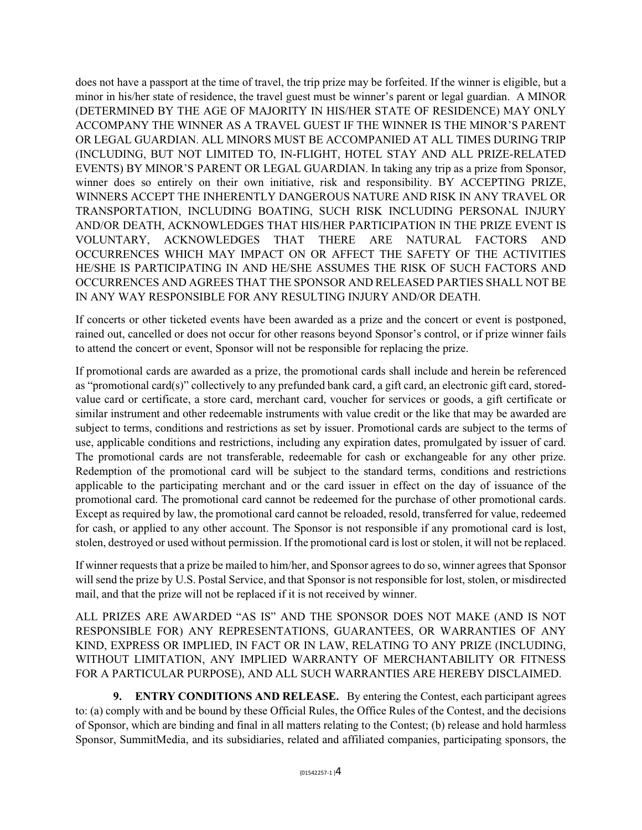does not have a passport at the time of travel, the trip prize may be forfeited. If the winner is eligible, but a minor in his/her state of residence, the travel guest must be winner's parent or legal guardian. A MINOR (DETERMINED BY THE AGE OF MAJORITY IN HIS/HER STATE OF RESIDENCE) MAY ONLY ACCOMPANY THE WINNER AS A TRAVEL GUEST IF THE WINNER IS THE MINOR'S PARENT OR LEGAL GUARDIAN. ALL MINORS MUST BE ACCOMPANIED AT ALL TIMES DURING TRIP (INCLUDING, BUT NOT LIMITED TO, IN-FLIGHT, HOTEL STAY AND ALL PRIZE-RELATED EVENTS) BY MINOR'S PARENT OR LEGAL GUARDIAN. In taking any trip as a prize from Sponsor, winner does so entirely on their own initiative, risk and responsibility. BY ACCEPTING PRIZE, WINNERS ACCEPT THE INHERENTLY DANGEROUS NATURE AND RISK IN ANY TRAVEL OR TRANSPORTATION, INCLUDING BOATING, SUCH RISK INCLUDING PERSONAL INJURY AND/OR DEATH, ACKNOWLEDGES THAT HIS/HER PARTICIPATION IN THE PRIZE EVENT IS VOLUNTARY, ACKNOWLEDGES THAT THERE ARE NATURAL FACTORS AND OCCURRENCES WHICH MAY IMPACT ON OR AFFECT THE SAFETY OF THE ACTIVITIES HE/SHE IS PARTICIPATING IN AND HE/SHE ASSUMES THE RISK OF SUCH FACTORS AND OCCURRENCES AND AGREES THAT THE SPONSOR AND RELEASED PARTIES SHALL NOT BE IN ANY WAY RESPONSIBLE FOR ANY RESULTING INJURY AND/OR DEATH.

If concerts or other ticketed events have been awarded as a prize and the concert or event is postponed, rained out, cancelled or does not occur for other reasons beyond Sponsor's control, or if prize winner fails to attend the concert or event, Sponsor will not be responsible for replacing the prize.

If promotional cards are awarded as a prize, the promotional cards shall include and herein be referenced as "promotional card(s)" collectively to any prefunded bank card, a gift card, an electronic gift card, storedvalue card or certificate, a store card, merchant card, voucher for services or goods, a gift certificate or similar instrument and other redeemable instruments with value credit or the like that may be awarded are subject to terms, conditions and restrictions as set by issuer. Promotional cards are subject to the terms of use, applicable conditions and restrictions, including any expiration dates, promulgated by issuer of card. The promotional cards are not transferable, redeemable for cash or exchangeable for any other prize. Redemption of the promotional card will be subject to the standard terms, conditions and restrictions applicable to the participating merchant and or the card issuer in effect on the day of issuance of the promotional card. The promotional card cannot be redeemed for the purchase of other promotional cards. Except as required by law, the promotional card cannot be reloaded, resold, transferred for value, redeemed for cash, or applied to any other account. The Sponsor is not responsible if any promotional card is lost, stolen, destroyed or used without permission. If the promotional card is lost or stolen, it will not be replaced.

If winner requests that a prize be mailed to him/her, and Sponsor agrees to do so, winner agrees that Sponsor will send the prize by U.S. Postal Service, and that Sponsor is not responsible for lost, stolen, or misdirected mail, and that the prize will not be replaced if it is not received by winner.

ALL PRIZES ARE AWARDED "AS IS" AND THE SPONSOR DOES NOT MAKE (AND IS NOT RESPONSIBLE FOR) ANY REPRESENTATIONS, GUARANTEES, OR WARRANTIES OF ANY KIND, EXPRESS OR IMPLIED, IN FACT OR IN LAW, RELATING TO ANY PRIZE (INCLUDING, WITHOUT LIMITATION, ANY IMPLIED WARRANTY OF MERCHANTABILITY OR FITNESS FOR A PARTICULAR PURPOSE), AND ALL SUCH WARRANTIES ARE HEREBY DISCLAIMED.

**9. ENTRY CONDITIONS AND RELEASE.** By entering the Contest, each participant agrees to: (a) comply with and be bound by these Official Rules, the Office Rules of the Contest, and the decisions of Sponsor, which are binding and final in all matters relating to the Contest; (b) release and hold harmless Sponsor, SummitMedia, and its subsidiaries, related and affiliated companies, participating sponsors, the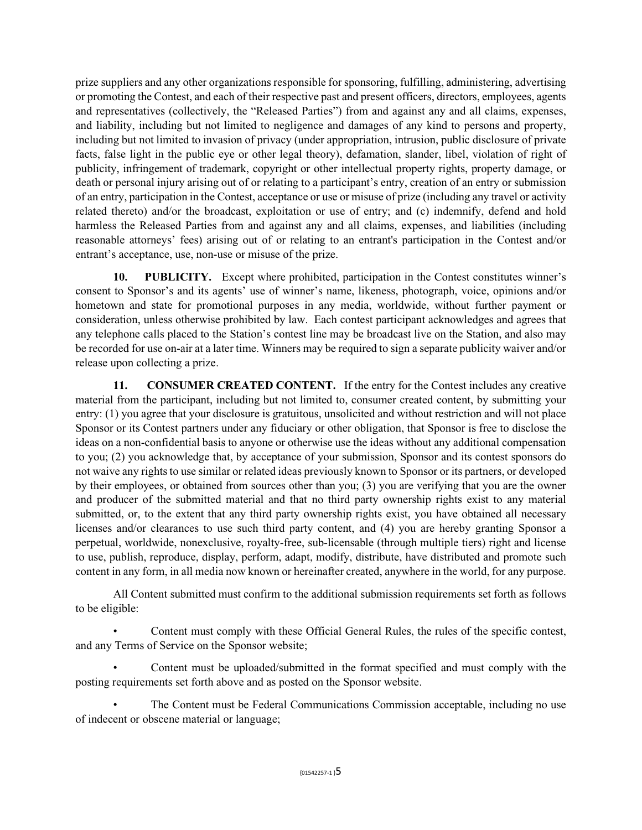prize suppliers and any other organizations responsible for sponsoring, fulfilling, administering, advertising or promoting the Contest, and each of their respective past and present officers, directors, employees, agents and representatives (collectively, the "Released Parties") from and against any and all claims, expenses, and liability, including but not limited to negligence and damages of any kind to persons and property, including but not limited to invasion of privacy (under appropriation, intrusion, public disclosure of private facts, false light in the public eye or other legal theory), defamation, slander, libel, violation of right of publicity, infringement of trademark, copyright or other intellectual property rights, property damage, or death or personal injury arising out of or relating to a participant's entry, creation of an entry or submission of an entry, participation in the Contest, acceptance or use or misuse of prize (including any travel or activity related thereto) and/or the broadcast, exploitation or use of entry; and (c) indemnify, defend and hold harmless the Released Parties from and against any and all claims, expenses, and liabilities (including reasonable attorneys' fees) arising out of or relating to an entrant's participation in the Contest and/or entrant's acceptance, use, non-use or misuse of the prize.

10. PUBLICITY. Except where prohibited, participation in the Contest constitutes winner's consent to Sponsor's and its agents' use of winner's name, likeness, photograph, voice, opinions and/or hometown and state for promotional purposes in any media, worldwide, without further payment or consideration, unless otherwise prohibited by law. Each contest participant acknowledges and agrees that any telephone calls placed to the Station's contest line may be broadcast live on the Station, and also may be recorded for use on-air at a later time. Winners may be required to sign a separate publicity waiver and/or release upon collecting a prize.

**11. CONSUMER CREATED CONTENT.** If the entry for the Contest includes any creative material from the participant, including but not limited to, consumer created content, by submitting your entry: (1) you agree that your disclosure is gratuitous, unsolicited and without restriction and will not place Sponsor or its Contest partners under any fiduciary or other obligation, that Sponsor is free to disclose the ideas on a non-confidential basis to anyone or otherwise use the ideas without any additional compensation to you; (2) you acknowledge that, by acceptance of your submission, Sponsor and its contest sponsors do not waive any rights to use similar or related ideas previously known to Sponsor or its partners, or developed by their employees, or obtained from sources other than you; (3) you are verifying that you are the owner and producer of the submitted material and that no third party ownership rights exist to any material submitted, or, to the extent that any third party ownership rights exist, you have obtained all necessary licenses and/or clearances to use such third party content, and (4) you are hereby granting Sponsor a perpetual, worldwide, nonexclusive, royalty-free, sub-licensable (through multiple tiers) right and license to use, publish, reproduce, display, perform, adapt, modify, distribute, have distributed and promote such content in any form, in all media now known or hereinafter created, anywhere in the world, for any purpose.

All Content submitted must confirm to the additional submission requirements set forth as follows to be eligible:

• Content must comply with these Official General Rules, the rules of the specific contest, and any Terms of Service on the Sponsor website;

• Content must be uploaded/submitted in the format specified and must comply with the posting requirements set forth above and as posted on the Sponsor website.

• The Content must be Federal Communications Commission acceptable, including no use of indecent or obscene material or language;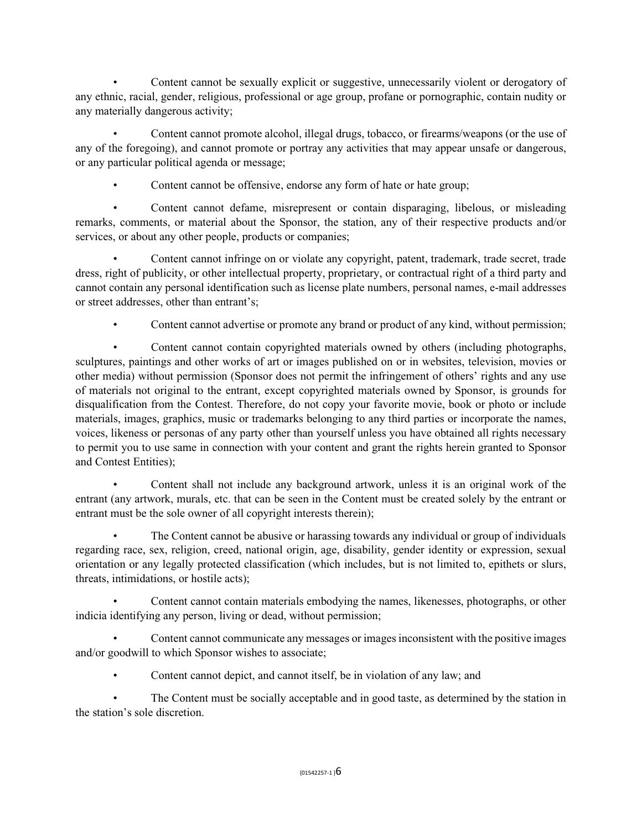• Content cannot be sexually explicit or suggestive, unnecessarily violent or derogatory of any ethnic, racial, gender, religious, professional or age group, profane or pornographic, contain nudity or any materially dangerous activity;

• Content cannot promote alcohol, illegal drugs, tobacco, or firearms/weapons (or the use of any of the foregoing), and cannot promote or portray any activities that may appear unsafe or dangerous, or any particular political agenda or message;

• Content cannot be offensive, endorse any form of hate or hate group;

• Content cannot defame, misrepresent or contain disparaging, libelous, or misleading remarks, comments, or material about the Sponsor, the station, any of their respective products and/or services, or about any other people, products or companies;

• Content cannot infringe on or violate any copyright, patent, trademark, trade secret, trade dress, right of publicity, or other intellectual property, proprietary, or contractual right of a third party and cannot contain any personal identification such as license plate numbers, personal names, e-mail addresses or street addresses, other than entrant's;

• Content cannot advertise or promote any brand or product of any kind, without permission;

• Content cannot contain copyrighted materials owned by others (including photographs, sculptures, paintings and other works of art or images published on or in websites, television, movies or other media) without permission (Sponsor does not permit the infringement of others' rights and any use of materials not original to the entrant, except copyrighted materials owned by Sponsor, is grounds for disqualification from the Contest. Therefore, do not copy your favorite movie, book or photo or include materials, images, graphics, music or trademarks belonging to any third parties or incorporate the names, voices, likeness or personas of any party other than yourself unless you have obtained all rights necessary to permit you to use same in connection with your content and grant the rights herein granted to Sponsor and Contest Entities);

• Content shall not include any background artwork, unless it is an original work of the entrant (any artwork, murals, etc. that can be seen in the Content must be created solely by the entrant or entrant must be the sole owner of all copyright interests therein);

• The Content cannot be abusive or harassing towards any individual or group of individuals regarding race, sex, religion, creed, national origin, age, disability, gender identity or expression, sexual orientation or any legally protected classification (which includes, but is not limited to, epithets or slurs, threats, intimidations, or hostile acts);

• Content cannot contain materials embodying the names, likenesses, photographs, or other indicia identifying any person, living or dead, without permission;

• Content cannot communicate any messages or images inconsistent with the positive images and/or goodwill to which Sponsor wishes to associate;

• Content cannot depict, and cannot itself, be in violation of any law; and

• The Content must be socially acceptable and in good taste, as determined by the station in the station's sole discretion.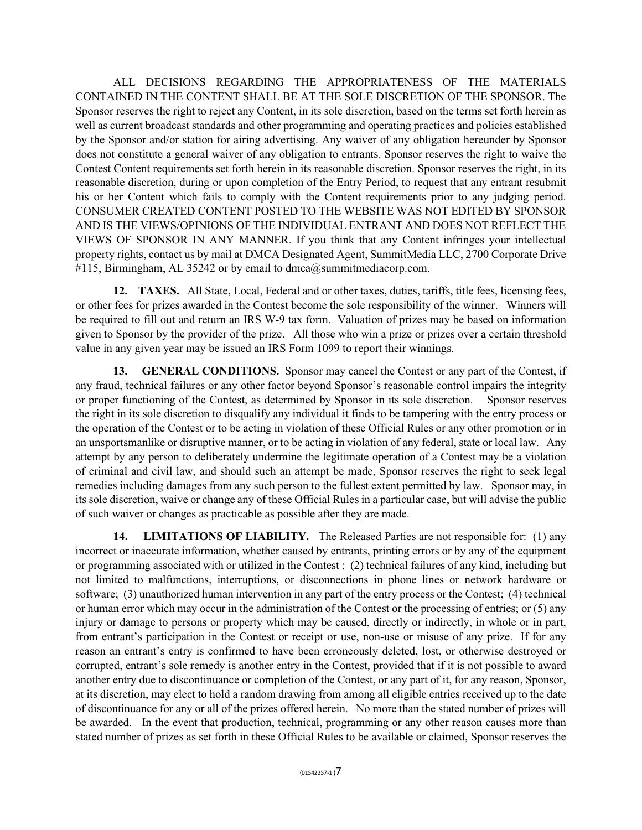ALL DECISIONS REGARDING THE APPROPRIATENESS OF THE MATERIALS CONTAINED IN THE CONTENT SHALL BE AT THE SOLE DISCRETION OF THE SPONSOR. The Sponsor reserves the right to reject any Content, in its sole discretion, based on the terms set forth herein as well as current broadcast standards and other programming and operating practices and policies established by the Sponsor and/or station for airing advertising. Any waiver of any obligation hereunder by Sponsor does not constitute a general waiver of any obligation to entrants. Sponsor reserves the right to waive the Contest Content requirements set forth herein in its reasonable discretion. Sponsor reserves the right, in its reasonable discretion, during or upon completion of the Entry Period, to request that any entrant resubmit his or her Content which fails to comply with the Content requirements prior to any judging period. CONSUMER CREATED CONTENT POSTED TO THE WEBSITE WAS NOT EDITED BY SPONSOR AND IS THE VIEWS/OPINIONS OF THE INDIVIDUAL ENTRANT AND DOES NOT REFLECT THE VIEWS OF SPONSOR IN ANY MANNER. If you think that any Content infringes your intellectual property rights, contact us by mail at DMCA Designated Agent, SummitMedia LLC, 2700 Corporate Drive #115, Birmingham, AL 35242 or by email to dmca@summitmediacorp.com.

**12. TAXES.** All State, Local, Federal and or other taxes, duties, tariffs, title fees, licensing fees, or other fees for prizes awarded in the Contest become the sole responsibility of the winner. Winners will be required to fill out and return an IRS W-9 tax form. Valuation of prizes may be based on information given to Sponsor by the provider of the prize. All those who win a prize or prizes over a certain threshold value in any given year may be issued an IRS Form 1099 to report their winnings.

**13. GENERAL CONDITIONS.** Sponsor may cancel the Contest or any part of the Contest, if any fraud, technical failures or any other factor beyond Sponsor's reasonable control impairs the integrity or proper functioning of the Contest, as determined by Sponsor in its sole discretion. Sponsor reserves the right in its sole discretion to disqualify any individual it finds to be tampering with the entry process or the operation of the Contest or to be acting in violation of these Official Rules or any other promotion or in an unsportsmanlike or disruptive manner, or to be acting in violation of any federal, state or local law. Any attempt by any person to deliberately undermine the legitimate operation of a Contest may be a violation of criminal and civil law, and should such an attempt be made, Sponsor reserves the right to seek legal remedies including damages from any such person to the fullest extent permitted by law. Sponsor may, in its sole discretion, waive or change any of these Official Rules in a particular case, but will advise the public of such waiver or changes as practicable as possible after they are made.

**14. LIMITATIONS OF LIABILITY.** The Released Parties are not responsible for: (1) any incorrect or inaccurate information, whether caused by entrants, printing errors or by any of the equipment or programming associated with or utilized in the Contest ; (2) technical failures of any kind, including but not limited to malfunctions, interruptions, or disconnections in phone lines or network hardware or software; (3) unauthorized human intervention in any part of the entry process or the Contest; (4) technical or human error which may occur in the administration of the Contest or the processing of entries; or (5) any injury or damage to persons or property which may be caused, directly or indirectly, in whole or in part, from entrant's participation in the Contest or receipt or use, non-use or misuse of any prize. If for any reason an entrant's entry is confirmed to have been erroneously deleted, lost, or otherwise destroyed or corrupted, entrant's sole remedy is another entry in the Contest, provided that if it is not possible to award another entry due to discontinuance or completion of the Contest, or any part of it, for any reason, Sponsor, at its discretion, may elect to hold a random drawing from among all eligible entries received up to the date of discontinuance for any or all of the prizes offered herein. No more than the stated number of prizes will be awarded. In the event that production, technical, programming or any other reason causes more than stated number of prizes as set forth in these Official Rules to be available or claimed, Sponsor reserves the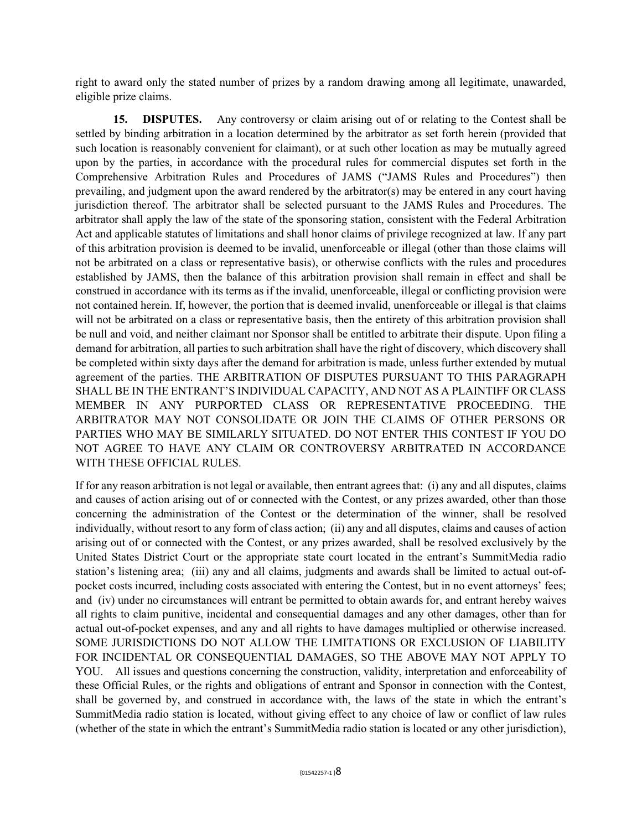right to award only the stated number of prizes by a random drawing among all legitimate, unawarded, eligible prize claims.

**15. DISPUTES.** Any controversy or claim arising out of or relating to the Contest shall be settled by binding arbitration in a location determined by the arbitrator as set forth herein (provided that such location is reasonably convenient for claimant), or at such other location as may be mutually agreed upon by the parties, in accordance with the procedural rules for commercial disputes set forth in the Comprehensive Arbitration Rules and Procedures of JAMS ("JAMS Rules and Procedures") then prevailing, and judgment upon the award rendered by the arbitrator(s) may be entered in any court having jurisdiction thereof. The arbitrator shall be selected pursuant to the JAMS Rules and Procedures. The arbitrator shall apply the law of the state of the sponsoring station, consistent with the Federal Arbitration Act and applicable statutes of limitations and shall honor claims of privilege recognized at law. If any part of this arbitration provision is deemed to be invalid, unenforceable or illegal (other than those claims will not be arbitrated on a class or representative basis), or otherwise conflicts with the rules and procedures established by JAMS, then the balance of this arbitration provision shall remain in effect and shall be construed in accordance with its terms as if the invalid, unenforceable, illegal or conflicting provision were not contained herein. If, however, the portion that is deemed invalid, unenforceable or illegal is that claims will not be arbitrated on a class or representative basis, then the entirety of this arbitration provision shall be null and void, and neither claimant nor Sponsor shall be entitled to arbitrate their dispute. Upon filing a demand for arbitration, all parties to such arbitration shall have the right of discovery, which discovery shall be completed within sixty days after the demand for arbitration is made, unless further extended by mutual agreement of the parties. THE ARBITRATION OF DISPUTES PURSUANT TO THIS PARAGRAPH SHALL BE IN THE ENTRANT'S INDIVIDUAL CAPACITY, AND NOT AS A PLAINTIFF OR CLASS MEMBER IN ANY PURPORTED CLASS OR REPRESENTATIVE PROCEEDING. THE ARBITRATOR MAY NOT CONSOLIDATE OR JOIN THE CLAIMS OF OTHER PERSONS OR PARTIES WHO MAY BE SIMILARLY SITUATED. DO NOT ENTER THIS CONTEST IF YOU DO NOT AGREE TO HAVE ANY CLAIM OR CONTROVERSY ARBITRATED IN ACCORDANCE WITH THESE OFFICIAL RULES.

If for any reason arbitration is not legal or available, then entrant agrees that: (i) any and all disputes, claims and causes of action arising out of or connected with the Contest, or any prizes awarded, other than those concerning the administration of the Contest or the determination of the winner, shall be resolved individually, without resort to any form of class action; (ii) any and all disputes, claims and causes of action arising out of or connected with the Contest, or any prizes awarded, shall be resolved exclusively by the United States District Court or the appropriate state court located in the entrant's SummitMedia radio station's listening area; (iii) any and all claims, judgments and awards shall be limited to actual out-ofpocket costs incurred, including costs associated with entering the Contest, but in no event attorneys' fees; and (iv) under no circumstances will entrant be permitted to obtain awards for, and entrant hereby waives all rights to claim punitive, incidental and consequential damages and any other damages, other than for actual out-of-pocket expenses, and any and all rights to have damages multiplied or otherwise increased. SOME JURISDICTIONS DO NOT ALLOW THE LIMITATIONS OR EXCLUSION OF LIABILITY FOR INCIDENTAL OR CONSEQUENTIAL DAMAGES, SO THE ABOVE MAY NOT APPLY TO YOU. All issues and questions concerning the construction, validity, interpretation and enforceability of these Official Rules, or the rights and obligations of entrant and Sponsor in connection with the Contest, shall be governed by, and construed in accordance with, the laws of the state in which the entrant's SummitMedia radio station is located, without giving effect to any choice of law or conflict of law rules (whether of the state in which the entrant's SummitMedia radio station is located or any other jurisdiction),